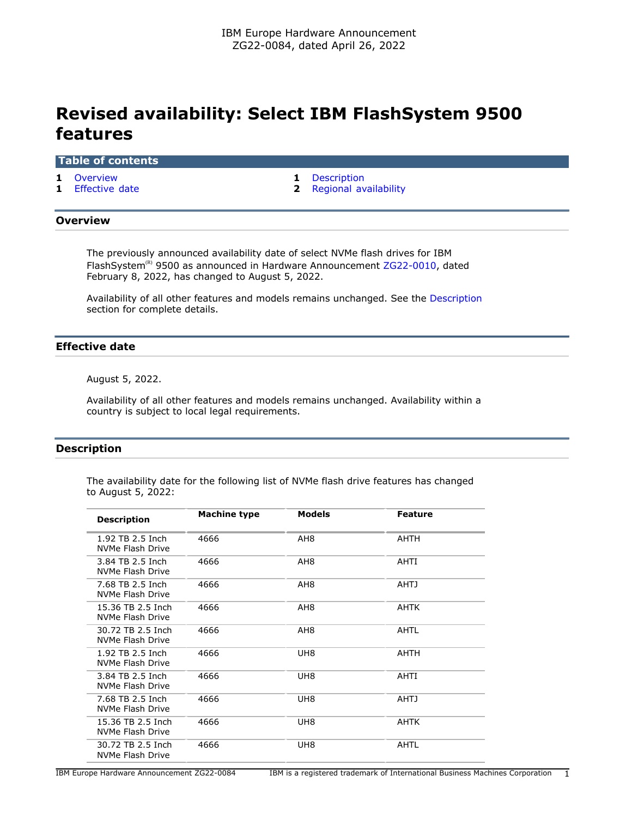# **Revised availability: Select IBM FlashSystem 9500 features**

#### **Table of contents**

- 
- **1** [Effective date](#page-0-2) **2** [Regional availability](#page-1-0)
- **1** [Overview](#page-0-0) **1** [Description](#page-0-1)

#### <span id="page-0-0"></span>**Overview**

The previously announced availability date of select NVMe flash drives for IBM FlashSystem<sup>(R)</sup> 9500 as announced in Hardware Announcement [ZG22-0010,](http://www.ibm.com/common/ssi/cgi-bin/ssialias?infotype=an&subtype=ca&appname=gpateam&supplier=877&letternum=ENUSZG22-0010) dated February 8, 2022, has changed to August 5, 2022.

Availability of all other features and models remains unchanged. See the [Description](#page-0-1) section for complete details.

## <span id="page-0-2"></span>**Effective date**

August 5, 2022.

Availability of all other features and models remains unchanged. Availability within a country is subject to local legal requirements.

## <span id="page-0-1"></span>**Description**

The availability date for the following list of NVMe flash drive features has changed to August 5, 2022:

| <b>Description</b>                    | Machine type | <b>Models</b>   | <b>Feature</b> |
|---------------------------------------|--------------|-----------------|----------------|
| 1.92 TB 2.5 Inch<br>NVMe Flash Drive  | 4666         | AH <sub>8</sub> | <b>AHTH</b>    |
| 3.84 TB 2.5 Inch<br>NVMe Flash Drive  | 4666         | AH <sub>8</sub> | AHTI           |
| 7.68 TB 2.5 Inch<br>NVMe Flash Drive  | 4666         | AH <sub>8</sub> | AHTJ           |
| 15.36 TB 2.5 Inch<br>NVMe Flash Drive | 4666         | AH <sub>8</sub> | AHTK           |
| 30.72 TB 2.5 Inch<br>NVMe Flash Drive | 4666         | AH <sub>8</sub> | <b>AHTL</b>    |
| 1.92 TB 2.5 Inch<br>NVMe Flash Drive  | 4666         | UH8             | <b>AHTH</b>    |
| 3.84 TB 2.5 Inch<br>NVMe Flash Drive  | 4666         | UH8             | AHTI           |
| 7.68 TB 2.5 Inch<br>NVMe Flash Drive  | 4666         | UH8             | <b>AHTJ</b>    |
| 15.36 TB 2.5 Inch<br>NVMe Flash Drive | 4666         | UH <sub>8</sub> | <b>AHTK</b>    |
| 30.72 TB 2.5 Inch<br>NVMe Flash Drive | 4666         | UH8             | AHTL           |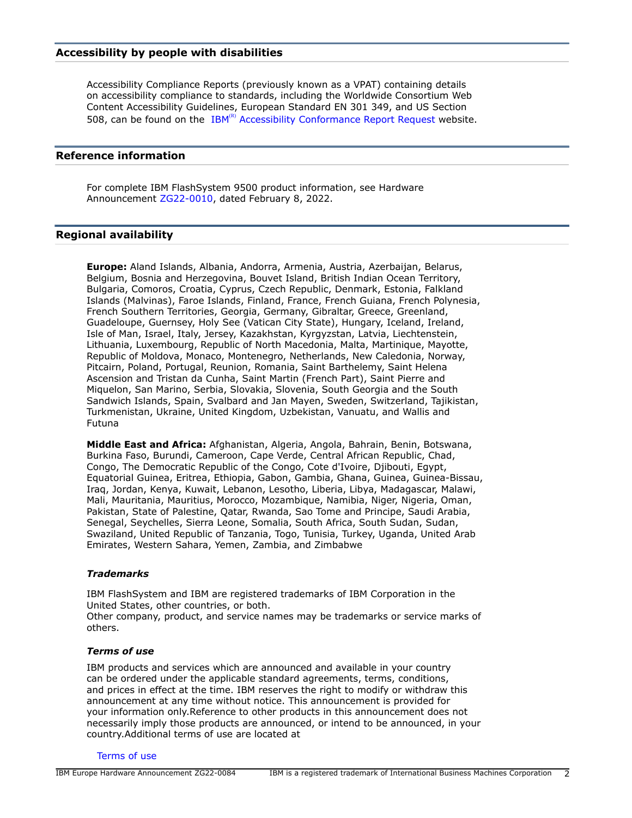#### **Accessibility by people with disabilities**

Accessibility Compliance Reports (previously known as a VPAT) containing details on accessibility compliance to standards, including the Worldwide Consortium Web Content Accessibility Guidelines, European Standard EN 301 349, and US Section 508, can be found on the  $IBM<sup>(R)</sup>$  [Accessibility Conformance Report Request](https://able.ibm.com/request/) website.

#### **Reference information**

For complete IBM FlashSystem 9500 product information, see Hardware Announcement [ZG22-0010](http://www.ibm.com/common/ssi/cgi-bin/ssialias?infotype=an&subtype=ca&appname=gpateam&supplier=877&letternum=ENUSZG22-0010), dated February 8, 2022.

### <span id="page-1-0"></span>**Regional availability**

**Europe:** Aland Islands, Albania, Andorra, Armenia, Austria, Azerbaijan, Belarus, Belgium, Bosnia and Herzegovina, Bouvet Island, British Indian Ocean Territory, Bulgaria, Comoros, Croatia, Cyprus, Czech Republic, Denmark, Estonia, Falkland Islands (Malvinas), Faroe Islands, Finland, France, French Guiana, French Polynesia, French Southern Territories, Georgia, Germany, Gibraltar, Greece, Greenland, Guadeloupe, Guernsey, Holy See (Vatican City State), Hungary, Iceland, Ireland, Isle of Man, Israel, Italy, Jersey, Kazakhstan, Kyrgyzstan, Latvia, Liechtenstein, Lithuania, Luxembourg, Republic of North Macedonia, Malta, Martinique, Mayotte, Republic of Moldova, Monaco, Montenegro, Netherlands, New Caledonia, Norway, Pitcairn, Poland, Portugal, Reunion, Romania, Saint Barthelemy, Saint Helena Ascension and Tristan da Cunha, Saint Martin (French Part), Saint Pierre and Miquelon, San Marino, Serbia, Slovakia, Slovenia, South Georgia and the South Sandwich Islands, Spain, Svalbard and Jan Mayen, Sweden, Switzerland, Tajikistan, Turkmenistan, Ukraine, United Kingdom, Uzbekistan, Vanuatu, and Wallis and Futuna

**Middle East and Africa:** Afghanistan, Algeria, Angola, Bahrain, Benin, Botswana, Burkina Faso, Burundi, Cameroon, Cape Verde, Central African Republic, Chad, Congo, The Democratic Republic of the Congo, Cote d'Ivoire, Djibouti, Egypt, Equatorial Guinea, Eritrea, Ethiopia, Gabon, Gambia, Ghana, Guinea, Guinea-Bissau, Iraq, Jordan, Kenya, Kuwait, Lebanon, Lesotho, Liberia, Libya, Madagascar, Malawi, Mali, Mauritania, Mauritius, Morocco, Mozambique, Namibia, Niger, Nigeria, Oman, Pakistan, State of Palestine, Qatar, Rwanda, Sao Tome and Principe, Saudi Arabia, Senegal, Seychelles, Sierra Leone, Somalia, South Africa, South Sudan, Sudan, Swaziland, United Republic of Tanzania, Togo, Tunisia, Turkey, Uganda, United Arab Emirates, Western Sahara, Yemen, Zambia, and Zimbabwe

#### *Trademarks*

IBM FlashSystem and IBM are registered trademarks of IBM Corporation in the United States, other countries, or both. Other company, product, and service names may be trademarks or service marks of others.

#### *Terms of use*

IBM products and services which are announced and available in your country can be ordered under the applicable standard agreements, terms, conditions, and prices in effect at the time. IBM reserves the right to modify or withdraw this announcement at any time without notice. This announcement is provided for your information only.Reference to other products in this announcement does not necessarily imply those products are announced, or intend to be announced, in your country.Additional terms of use are located at

[Terms of use](http://www.ibm.com/legal/us/en/)